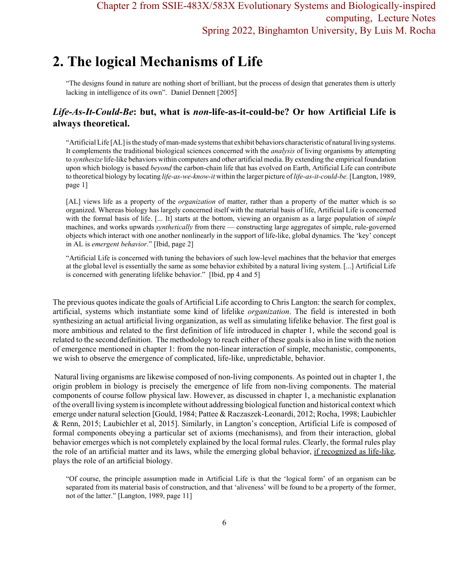# **2. The logical Mechanisms of Life**

"The designs found in nature are nothing short of brilliant, but the process of design that generates them is utterly lacking in intelligence of its own". Daniel Dennett [2005]

# *Life-As-It-Could-Be***: but, what is** *non***-life-as-it-could-be? Or how Artificial Life is always theoretical.**

"Artificial Life [AL] is the study of man-made systems that exhibit behaviors characteristic of natural living systems. It complements the traditional biological sciences concerned with the *analysis* of living organisms by attempting to *synthesize* life-like behaviors within computers and other artificial media. By extending the empirical foundation upon which biology is based *beyond* the carbon-chain life that has evolved on Earth, Artificial Life can contribute to theoretical biology by locating *life-as-we-know-it* within the larger picture of *life-as-it-could-be.* [Langton, 1989, page 1]

[AL] views life as a property of the *organization* of matter, rather than a property of the matter which is so organized. Whereas biology has largely concerned itself with the material basis of life, Artificial Life is concerned with the formal basis of life. [... It] starts at the bottom, viewing an organism as a large population of *simple* machines, and works upwards *synthetically* from there — constructing large aggregates of simple, rule-governed objects which interact with one another nonlinearly in the support of life-like, global dynamics. The 'key' concept in AL is *emergent behavior*." [Ibid, page 2]

"Artificial Life is concerned with tuning the behaviors of such low-level machines that the behavior that emerges at the global level is essentially the same as some behavior exhibited by a natural living system. [...] Artificial Life is concerned with generating lifelike behavior." [Ibid, pp 4 and 5]

The previous quotes indicate the goals of Artificial Life according to Chris Langton: the search for complex, artificial, systems which instantiate some kind of lifelike *organization*. The field is interested in both synthesizing an actual artificial living organization, as well as simulating lifelike behavior. The first goal is more ambitious and related to the first definition of life introduced in chapter 1, while the second goal is related to the second definition. The methodology to reach either of these goals is also in line with the notion of emergence mentioned in chapter 1: from the non-linear interaction of simple, mechanistic, components, we wish to observe the emergence of complicated, life-like, unpredictable, behavior.

 Natural living organisms are likewise composed of non-living components. As pointed out in chapter 1, the origin problem in biology is precisely the emergence of life from non-living components. The material components of course follow physical law. However, as discussed in chapter 1, a mechanistic explanation of the overall living system is incomplete without addressing biological function and historical context which emerge under natural selection [Gould, 1984; Pattee & Raczaszek-Leonardi, 2012; Rocha, 1998; Laubichler & Renn, 2015; Laubichler et al, 2015]. Similarly, in Langton's conception, Artificial Life is composed of formal components obeying a particular set of axioms (mechanisms), and from their interaction, global behavior emerges which is not completely explained by the local formal rules. Clearly, the formal rules play the role of an artificial matter and its laws, while the emerging global behavior, if recognized as life-like, plays the role of an artificial biology.

"Of course, the principle assumption made in Artificial Life is that the 'logical form' of an organism can be separated from its material basis of construction, and that 'aliveness' will be found to be a property of the former, not of the latter." [Langton, 1989, page 11]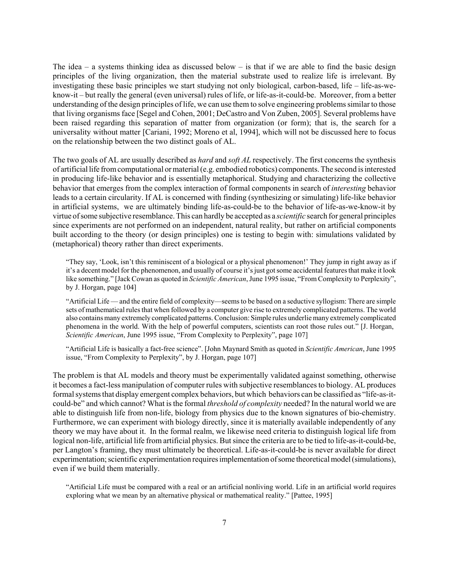The idea – a systems thinking idea as discussed below – is that if we are able to find the basic design principles of the living organization, then the material substrate used to realize life is irrelevant. By investigating these basic principles we start studying not only biological, carbon-based, life – life-as-weknow-it – but really the general (even universal) rules of life, or life-as-it-could-be. Moreover, from a better understanding of the design principles of life, we can use them to solve engineering problems similar to those that living organisms face [Segel and Cohen, 2001; DeCastro and Von Zuben, 2005]. Several problems have been raised regarding this separation of matter from organization (or form); that is, the search for a universality without matter [Cariani, 1992; Moreno et al, 1994], which will not be discussed here to focus on the relationship between the two distinct goals of AL.

The two goals of AL are usually described as *hard* and *soft AL* respectively. The first concerns the synthesis of artificial life from computational or material (e.g. embodied robotics) components. The second is interested in producing life-like behavior and is essentially metaphorical. Studying and characterizing the collective behavior that emerges from the complex interaction of formal components in search of *interesting* behavior leads to a certain circularity. If AL is concerned with finding (synthesizing or simulating) life-like behavior in artificial systems, we are ultimately binding life-as-could-be to the behavior of life-as-we-know-it by virtue of some subjective resemblance. This can hardly be accepted as a *scientific* search for general principles since experiments are not performed on an independent, natural reality, but rather on artificial components built according to the theory (or design principles) one is testing to begin with: simulations validated by (metaphorical) theory rather than direct experiments.

"They say, 'Look, isn't this reminiscent of a biological or a physical phenomenon!' They jump in right away as if it's a decent model for the phenomenon, and usually of course it's just got some accidental features that make it look like something." [Jack Cowan as quoted in *Scientific American*, June 1995 issue, "From Complexity to Perplexity", by J. Horgan, page 104]

"Artificial Life — and the entire field of complexity—seems to be based on a seductive syllogism: There are simple sets of mathematical rules that when followed by a computer give rise to extremely complicated patterns. The world also contains many extremely complicated patterns. Conclusion: Simple rules underlie many extremely complicated phenomena in the world. With the help of powerful computers, scientists can root those rules out." [J. Horgan, *Scientific American*, June 1995 issue, "From Complexity to Perplexity", page 107]

"Artificial Life is basically a fact-free science". [John Maynard Smith as quoted in *Scientific American*, June 1995 issue, "From Complexity to Perplexity", by J. Horgan, page 107]

The problem is that AL models and theory must be experimentally validated against something, otherwise it becomes a fact-less manipulation of computer rules with subjective resemblances to biology. AL produces formal systems that display emergent complex behaviors, but which behaviors can be classified as "life-as-itcould-be" and which cannot? What is the formal *threshold of complexity* needed? In the natural world we are able to distinguish life from non-life, biology from physics due to the known signatures of bio-chemistry. Furthermore, we can experiment with biology directly, since it is materially available independently of any theory we may have about it. In the formal realm, we likewise need criteria to distinguish logical life from logical non-life, artificial life from artificial physics. But since the criteria are to be tied to life-as-it-could-be, per Langton's framing, they must ultimately be theoretical. Life-as-it-could-be is never available for direct experimentation; scientific experimentation requires implementation of some theoretical model (simulations), even if we build them materially.

"Artificial Life must be compared with a real or an artificial nonliving world. Life in an artificial world requires exploring what we mean by an alternative physical or mathematical reality." [Pattee, 1995]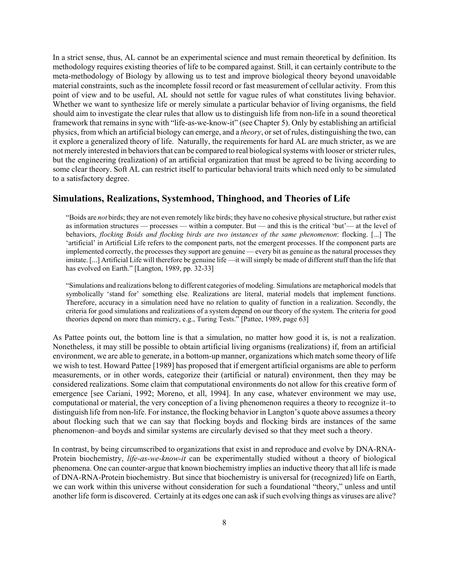In a strict sense, thus, AL cannot be an experimental science and must remain theoretical by definition. Its methodology requires existing theories of life to be compared against. Still, it can certainly contribute to the meta-methodology of Biology by allowing us to test and improve biological theory beyond unavoidable material constraints, such as the incomplete fossil record or fast measurement of cellular activity. From this point of view and to be useful, AL should not settle for vague rules of what constitutes living behavior. Whether we want to synthesize life or merely simulate a particular behavior of living organisms, the field should aim to investigate the clear rules that allow us to distinguish life from non-life in a sound theoretical framework that remains in sync with "life-as-we-know-it" (see Chapter 5). Only by establishing an artificial physics, from which an artificial biology can emerge, and a *theory*, or set of rules, distinguishing the two, can it explore a generalized theory of life. Naturally, the requirements for hard AL are much stricter, as we are not merely interested in behaviors that can be compared to real biological systems with looser or stricter rules, but the engineering (realization) of an artificial organization that must be agreed to be living according to some clear theory. Soft AL can restrict itself to particular behavioral traits which need only to be simulated to a satisfactory degree.

## **Simulations, Realizations, Systemhood, Thinghood, and Theories of Life**

"Boids are *not* birds; they are not even remotely like birds; they have no cohesive physical structure, but rather exist as information structures — processes — within a computer. But — and this is the critical 'but'— at the level of behaviors, *flocking Boids and flocking birds are two instances of the same phenomenon*: flocking. [...] The 'artificial' in Artificial Life refers to the component parts, not the emergent processes. If the component parts are implemented correctly, the processes they support are genuine — every bit as genuine as the natural processes they imitate. [...] Artificial Life will therefore be genuine life —it will simply be made of different stuff than the life that has evolved on Earth." [Langton, 1989, pp. 32-33]

"Simulations and realizations belong to different categories of modeling. Simulations are metaphorical models that symbolically 'stand for' something else. Realizations are literal, material models that implement functions. Therefore, accuracy in a simulation need have no relation to quality of function in a realization. Secondly, the criteria for good simulations and realizations of a system depend on our theory of the system. The criteria for good theories depend on more than mimicry, e.g., Turing Tests." [Pattee, 1989, page 63]

As Pattee points out, the bottom line is that a simulation, no matter how good it is, is not a realization. Nonetheless, it may still be possible to obtain artificial living organisms (realizations) if, from an artificial environment, we are able to generate, in a bottom-up manner, organizations which match some theory of life we wish to test. Howard Pattee [1989] has proposed that if emergent artificial organisms are able to perform measurements, or in other words, categorize their (artificial or natural) environment, then they may be considered realizations. Some claim that computational environments do not allow for this creative form of emergence [see Cariani, 1992; Moreno, et all, 1994]. In any case, whatever environment we may use, computational or material, the very conception of a living phenomenon requires a theory to recognize it–to distinguish life from non-life. For instance, the flocking behavior in Langton's quote above assumes a theory about flocking such that we can say that flocking boyds and flocking birds are instances of the same phenomenon–and boyds and similar systems are circularly devised so that they meet such a theory.

In contrast, by being circumscribed to organizations that exist in and reproduce and evolve by DNA-RNA-Protein biochemistry, *life-as-we-know-it* can be experimentally studied without a theory of biological phenomena. One can counter-argue that known biochemistry implies an inductive theory that all life is made of DNA-RNA-Protein biochemistry. But since that biochemistry is universal for (recognized) life on Earth, we can work within this universe without consideration for such a foundational "theory," unless and until another life form is discovered. Certainly at its edges one can ask if such evolving things as viruses are alive?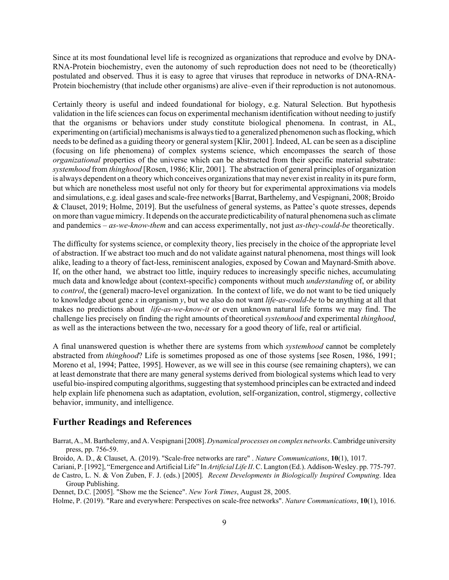Since at its most foundational level life is recognized as organizations that reproduce and evolve by DNA-RNA-Protein biochemistry, even the autonomy of such reproduction does not need to be (theoretically) postulated and observed. Thus it is easy to agree that viruses that reproduce in networks of DNA-RNA-Protein biochemistry (that include other organisms) are alive–even if their reproduction is not autonomous.

Certainly theory is useful and indeed foundational for biology, e.g. Natural Selection. But hypothesis validation in the life sciences can focus on experimental mechanism identification without needing to justify that the organisms or behaviors under study constitute biological phenomena. In contrast, in AL, experimenting on (artificial) mechanisms is always tied to a generalized phenomenon such as flocking, which needs to be defined as a guiding theory or general system [Klir, 2001]. Indeed, AL can be seen as a discipline (focusing on life phenomena) of complex systems science, which encompasses the search of those *organizational* properties of the universe which can be abstracted from their specific material substrate: *systemhood* from *thinghood* [Rosen, 1986; Klir, 2001]. The abstraction of general principles of organization is always dependent on a theory which conceives organizations that may never exist in reality in its pure form, but which are nonetheless most useful not only for theory but for experimental approximations via models and simulations, e.g. ideal gases and scale-free networks [Barrat, Barthelemy, and Vespignani, 2008; Broido & Clauset, 2019; Holme, 2019]. But the usefulness of general systems, as Pattee's quote stresses, depends on more than vague mimicry. It depends on the accurate predicticability of natural phenomena such as climate and pandemics – *as-we-know-them* and can access experimentally, not just *as-they-could-be* theoretically.

The difficulty for systems science, or complexity theory, lies precisely in the choice of the appropriate level of abstraction. If we abstract too much and do not validate against natural phenomena, most things will look alike, leading to a theory of fact-less, reminiscent analogies, exposed by Cowan and Maynard-Smith above. If, on the other hand, we abstract too little, inquiry reduces to increasingly specific niches, accumulating much data and knowledge about (context-specific) components without much *understanding* of, or ability to *control*, the (general) macro-level organization. In the context of life, we do not want to be tied uniquely to knowledge about gene *x* in organism *y*, but we also do not want *life-as-could-be* to be anything at all that makes no predictions about *life-as-we-know-it* or even unknown natural life forms we may find. The challenge lies precisely on finding the right amounts of theoretical *systemhood* and experimental *thinghood*, as well as the interactions between the two, necessary for a good theory of life, real or artificial.

A final unanswered question is whether there are systems from which *systemhood* cannot be completely abstracted from *thinghood*? Life is sometimes proposed as one of those systems [see Rosen, 1986, 1991; Moreno et al, 1994; Pattee, 1995]. However, as we will see in this course (see remaining chapters), we can at least demonstrate that there are many general systems derived from biological systems which lead to very useful bio-inspired computing algorithms, suggesting that systemhood principles can be extracted and indeed help explain life phenomena such as adaptation, evolution, self-organization, control, stigmergy, collective behavior, immunity, and intelligence.

### **Further Readings and References**

Barrat, A., M. Barthelemy, and A. Vespignani [2008]. *Dynamical processes on complex networks*. Cambridge university press, pp. 756-59.

Broido, A. D., & Clauset, A. (2019). "Scale-free networks are rare" . *Nature Communications*, **10**(1), 1017.

Cariani, P. [1992], "Emergence and Artificial Life" In *Artificial Life II*. C. Langton (Ed.). Addison-Wesley. pp. 775-797. de Castro, L. N. & Von Zuben, F. J. (eds.) [2005]*. Recent Developments in Biologically Inspired Computing*. Idea Group Publishing.

Dennet, D.C. [2005]. "Show me the Science". *New York Times*, August 28, 2005.

Holme, P. (2019). "Rare and everywhere: Perspectives on scale-free networks". *Nature Communications*, **10**(1), 1016.